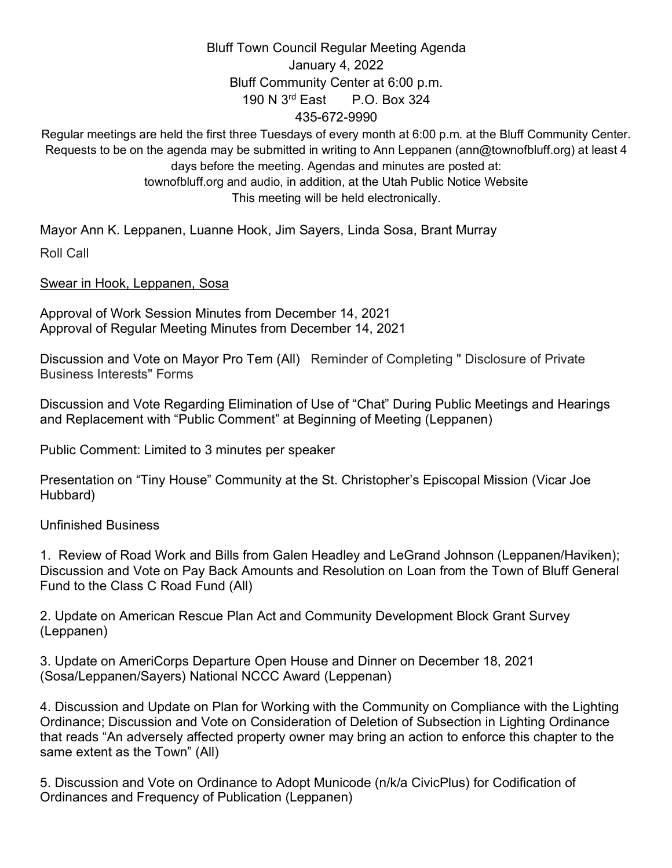## Bluff Town Council Regular Meeting Agenda January 4, 2022 Bluff Community Center at 6:00 p.m. 190 N 3rd East P.O. Box 324 435-672-9990

Regular meetings are held the first three Tuesdays of every month at 6:00 p.m. at the Bluff Community Center. Requests to be on the agenda may be submitted in writing to Ann Leppanen (ann@townofbluff.org) at least 4 days before the meeting. Agendas and minutes are posted at: townofbluff.org and audio, in addition, at the Utah Public Notice Website This meeting will be held electronically.

Mayor Ann K. Leppanen, Luanne Hook, Jim Sayers, Linda Sosa, Brant Murray Roll Call

Swear in Hook, Leppanen, Sosa

Approval of Work Session Minutes from December 14, 2021 Approval of Regular Meeting Minutes from December 14, 2021

Discussion and Vote on Mayor Pro Tem (All) Reminder of Completing " Disclosure of Private Business Interests" Forms

Discussion and Vote Regarding Elimination of Use of "Chat" During Public Meetings and Hearings and Replacement with "Public Comment" at Beginning of Meeting (Leppanen)

Public Comment: Limited to 3 minutes per speaker

Presentation on "Tiny House" Community at the St. Christopher's Episcopal Mission (Vicar Joe Hubbard)

Unfinished Business

1. Review of Road Work and Bills from Galen Headley and LeGrand Johnson (Leppanen/Haviken); Discussion and Vote on Pay Back Amounts and Resolution on Loan from the Town of Bluff General Fund to the Class C Road Fund (All)

2. Update on American Rescue Plan Act and Community Development Block Grant Survey (Leppanen)

3. Update on AmeriCorps Departure Open House and Dinner on December 18, 2021 (Sosa/Leppanen/Sayers) National NCCC Award (Leppenan)

4. Discussion and Update on Plan for Working with the Community on Compliance with the Lighting Ordinance; Discussion and Vote on Consideration of Deletion of Subsection in Lighting Ordinance that reads "An adversely affected property owner may bring an action to enforce this chapter to the same extent as the Town" (All)

5. Discussion and Vote on Ordinance to Adopt Municode (n/k/a CivicPlus) for Codification of Ordinances and Frequency of Publication (Leppanen)